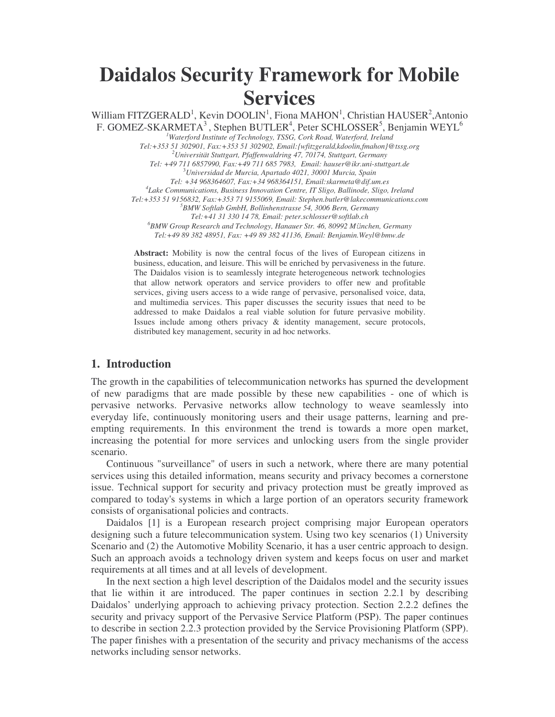# **Daidalos Security Framework for Mobile Services**

William FITZGERALD<sup>1</sup>, Kevin DOOLIN<sup>1</sup>, Fiona MAHON<sup>1</sup>, Christian HAUSER<sup>2</sup>, Antonio F. GOMEZ-SKARMETA $^3$ , Stephen BUTLER<sup>4</sup>, Peter SCHLOSSER<sup>5</sup>, Benjamin WEYL<sup>6</sup> *<sup>1</sup>Waterford Institute of Technology, TSSG, Cork Road, Waterford, Ireland Tel:+353 51 302901, Fax:+353 51 302902, Email:{wfitzgerald,kdoolin,fmahon}@tssg.org <sup>2</sup>Universität Stuttgart, Pfaffenwaldring 47, 70174, Stuttgart, Germany Tel: +49 711 6857990, Fax:+49 711 685 7983, Email: hauser@ikr.uni-stuttgart.de* <sup>3</sup>*Universidad de Murcia, Apartado 4021, 30001 Murcia, Spain Tel: +34 968364607, Fax:+34 968364151, Email:skarmeta@dif.um.es 4 Lake Communications, Business Innovation Centre, IT Sligo, Ballinode, Sligo, Ireland Tel:+353 51 9156832, Fax:+353 71 9155069, Email: Stephen.butler@lakecommunications.com <sup>5</sup>BMW Softlab GmbH, Bollinhenstrasse 54, 3006 Bern, Germany Tel:+41 31 330 14 78, Email: peter.schlosser@softlab.ch <sup>6</sup>BMW Group Research and Technology, Hanauer Str. 46, 80992 München, Germany Tel:+49 89 382 48951, Fax: +49 89 382 41136, Email: Benjamin.Weyl@bmw.de*

> **Abstract:** Mobility is now the central focus of the lives of European citizens in business, education, and leisure. This will be enriched by pervasiveness in the future. The Daidalos vision is to seamlessly integrate heterogeneous network technologies that allow network operators and service providers to offer new and profitable services, giving users access to a wide range of pervasive, personalised voice, data, and multimedia services. This paper discusses the security issues that need to be addressed to make Daidalos a real viable solution for future pervasive mobility. Issues include among others privacy & identity management, secure protocols, distributed key management, security in ad hoc networks.

## **1. Introduction**

The growth in the capabilities of telecommunication networks has spurned the development of new paradigms that are made possible by these new capabilities - one of which is pervasive networks. Pervasive networks allow technology to weave seamlessly into everyday life, continuously monitoring users and their usage patterns, learning and preempting requirements. In this environment the trend is towards a more open market, increasing the potential for more services and unlocking users from the single provider scenario.

Continuous "surveillance" of users in such a network, where there are many potential services using this detailed information, means security and privacy becomes a cornerstone issue. Technical support for security and privacy protection must be greatly improved as compared to today's systems in which a large portion of an operators security framework consists of organisational policies and contracts.

Daidalos [1] is a European research project comprising major European operators designing such a future telecommunication system. Using two key scenarios (1) University Scenario and (2) the Automotive Mobility Scenario, it has a user centric approach to design. Such an approach avoids a technology driven system and keeps focus on user and market requirements at all times and at all levels of development.

In the next section a high level description of the Daidalos model and the security issues that lie within it are introduced. The paper continues in section 2.2.1 by describing Daidalos' underlying approach to achieving privacy protection. Section 2.2.2 defines the security and privacy support of the Pervasive Service Platform (PSP). The paper continues to describe in section 2.2.3 protection provided by the Service Provisioning Platform (SPP). The paper finishes with a presentation of the security and privacy mechanisms of the access networks including sensor networks.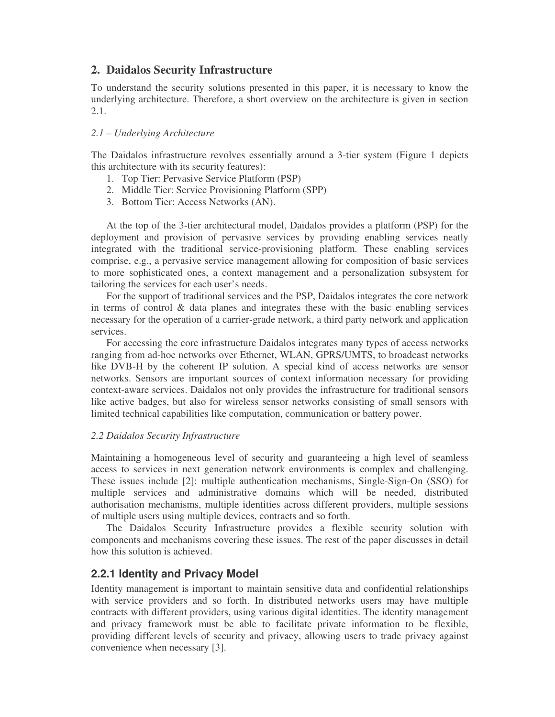# **2. Daidalos Security Infrastructure**

To understand the security solutions presented in this paper, it is necessary to know the underlying architecture. Therefore, a short overview on the architecture is given in section 2.1.

#### *2.1 – Underlying Architecture*

The Daidalos infrastructure revolves essentially around a 3-tier system (Figure 1 depicts this architecture with its security features):

- 1. Top Tier: Pervasive Service Platform (PSP)
- 2. Middle Tier: Service Provisioning Platform (SPP)
- 3. Bottom Tier: Access Networks (AN).

At the top of the 3-tier architectural model, Daidalos provides a platform (PSP) for the deployment and provision of pervasive services by providing enabling services neatly integrated with the traditional service-provisioning platform. These enabling services comprise, e.g., a pervasive service management allowing for composition of basic services to more sophisticated ones, a context management and a personalization subsystem for tailoring the services for each user's needs.

For the support of traditional services and the PSP, Daidalos integrates the core network in terms of control  $\&$  data planes and integrates these with the basic enabling services necessary for the operation of a carrier-grade network, a third party network and application services.

For accessing the core infrastructure Daidalos integrates many types of access networks ranging from ad-hoc networks over Ethernet, WLAN, GPRS/UMTS, to broadcast networks like DVB-H by the coherent IP solution. A special kind of access networks are sensor networks. Sensors are important sources of context information necessary for providing context-aware services. Daidalos not only provides the infrastructure for traditional sensors like active badges, but also for wireless sensor networks consisting of small sensors with limited technical capabilities like computation, communication or battery power.

#### *2.2 Daidalos Security Infrastructure*

Maintaining a homogeneous level of security and guaranteeing a high level of seamless access to services in next generation network environments is complex and challenging. These issues include [2]: multiple authentication mechanisms, Single-Sign-On (SSO) for multiple services and administrative domains which will be needed, distributed authorisation mechanisms, multiple identities across different providers, multiple sessions of multiple users using multiple devices, contracts and so forth.

The Daidalos Security Infrastructure provides a flexible security solution with components and mechanisms covering these issues. The rest of the paper discusses in detail how this solution is achieved.

# **2.2.1 Identity and Privacy Model**

Identity management is important to maintain sensitive data and confidential relationships with service providers and so forth. In distributed networks users may have multiple contracts with different providers, using various digital identities. The identity management and privacy framework must be able to facilitate private information to be flexible, providing different levels of security and privacy, allowing users to trade privacy against convenience when necessary [3].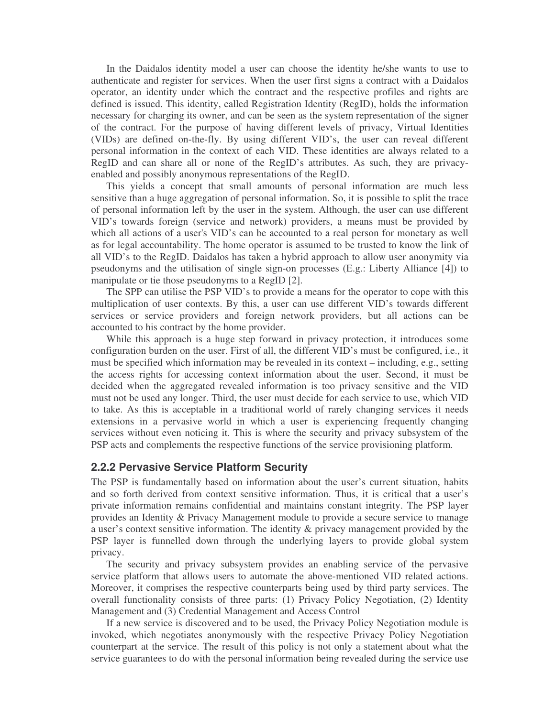In the Daidalos identity model a user can choose the identity he/she wants to use to authenticate and register for services. When the user first signs a contract with a Daidalos operator, an identity under which the contract and the respective profiles and rights are defined is issued. This identity, called Registration Identity (RegID), holds the information necessary for charging its owner, and can be seen as the system representation of the signer of the contract. For the purpose of having different levels of privacy, Virtual Identities (VIDs) are defined on-the-fly. By using different VID's, the user can reveal different personal information in the context of each VID. These identities are always related to a RegID and can share all or none of the RegID's attributes. As such, they are privacyenabled and possibly anonymous representations of the RegID.

This yields a concept that small amounts of personal information are much less sensitive than a huge aggregation of personal information. So, it is possible to split the trace of personal information left by the user in the system. Although, the user can use different VID's towards foreign (service and network) providers, a means must be provided by which all actions of a user's VID's can be accounted to a real person for monetary as well as for legal accountability. The home operator is assumed to be trusted to know the link of all VID's to the RegID. Daidalos has taken a hybrid approach to allow user anonymity via pseudonyms and the utilisation of single sign-on processes (E.g.: Liberty Alliance [4]) to manipulate or tie those pseudonyms to a RegID [2].

The SPP can utilise the PSP VID's to provide a means for the operator to cope with this multiplication of user contexts. By this, a user can use different VID's towards different services or service providers and foreign network providers, but all actions can be accounted to his contract by the home provider.

While this approach is a huge step forward in privacy protection, it introduces some configuration burden on the user. First of all, the different VID's must be configured, i.e., it must be specified which information may be revealed in its context – including, e.g., setting the access rights for accessing context information about the user. Second, it must be decided when the aggregated revealed information is too privacy sensitive and the VID must not be used any longer. Third, the user must decide for each service to use, which VID to take. As this is acceptable in a traditional world of rarely changing services it needs extensions in a pervasive world in which a user is experiencing frequently changing services without even noticing it. This is where the security and privacy subsystem of the PSP acts and complements the respective functions of the service provisioning platform.

#### **2.2.2 Pervasive Service Platform Security**

The PSP is fundamentally based on information about the user's current situation, habits and so forth derived from context sensitive information. Thus, it is critical that a user's private information remains confidential and maintains constant integrity. The PSP layer provides an Identity & Privacy Management module to provide a secure service to manage a user's context sensitive information. The identity & privacy management provided by the PSP layer is funnelled down through the underlying layers to provide global system privacy.

The security and privacy subsystem provides an enabling service of the pervasive service platform that allows users to automate the above-mentioned VID related actions. Moreover, it comprises the respective counterparts being used by third party services. The overall functionality consists of three parts: (1) Privacy Policy Negotiation, (2) Identity Management and (3) Credential Management and Access Control

If a new service is discovered and to be used, the Privacy Policy Negotiation module is invoked, which negotiates anonymously with the respective Privacy Policy Negotiation counterpart at the service. The result of this policy is not only a statement about what the service guarantees to do with the personal information being revealed during the service use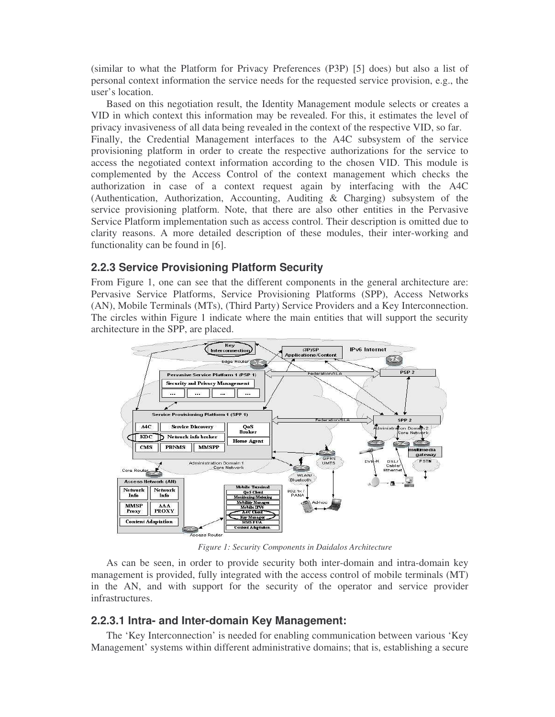(similar to what the Platform for Privacy Preferences (P3P) [5] does) but also a list of personal context information the service needs for the requested service provision, e.g., the user's location.

Based on this negotiation result, the Identity Management module selects or creates a VID in which context this information may be revealed. For this, it estimates the level of privacy invasiveness of all data being revealed in the context of the respective VID, so far. Finally, the Credential Management interfaces to the A4C subsystem of the service provisioning platform in order to create the respective authorizations for the service to access the negotiated context information according to the chosen VID. This module is complemented by the Access Control of the context management which checks the authorization in case of a context request again by interfacing with the A4C (Authentication, Authorization, Accounting, Auditing & Charging) subsystem of the service provisioning platform. Note, that there are also other entities in the Pervasive Service Platform implementation such as access control. Their description is omitted due to clarity reasons. A more detailed description of these modules, their inter-working and functionality can be found in [6].

## **2.2.3 Service Provisioning Platform Security**

From Figure 1, one can see that the different components in the general architecture are: Pervasive Service Platforms, Service Provisioning Platforms (SPP), Access Networks (AN), Mobile Terminals (MTs), (Third Party) Service Providers and a Key Interconnection. The circles within Figure 1 indicate where the main entities that will support the security architecture in the SPP, are placed.



*Figure 1: Security Components in Daidalos Architecture*

As can be seen, in order to provide security both inter-domain and intra-domain key management is provided, fully integrated with the access control of mobile terminals (MT) in the AN, and with support for the security of the operator and service provider infrastructures.

#### **2.2.3.1 Intra- and Inter-domain Key Management:**

The 'Key Interconnection' is needed for enabling communication between various 'Key Management' systems within different administrative domains; that is, establishing a secure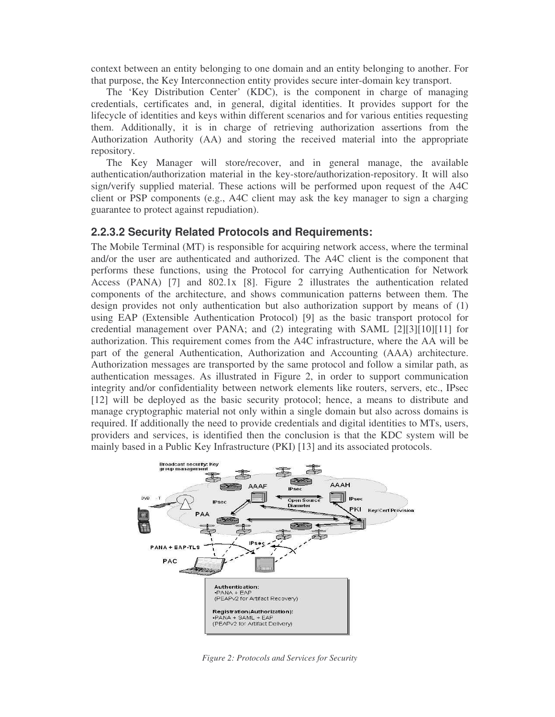context between an entity belonging to one domain and an entity belonging to another. For that purpose, the Key Interconnection entity provides secure inter-domain key transport.

The 'Key Distribution Center' (KDC), is the component in charge of managing credentials, certificates and, in general, digital identities. It provides support for the lifecycle of identities and keys within different scenarios and for various entities requesting them. Additionally, it is in charge of retrieving authorization assertions from the Authorization Authority (AA) and storing the received material into the appropriate repository.

The Key Manager will store/recover, and in general manage, the available authentication/authorization material in the key-store/authorization-repository. It will also sign/verify supplied material. These actions will be performed upon request of the A4C client or PSP components (e.g., A4C client may ask the key manager to sign a charging guarantee to protect against repudiation).

## **2.2.3.2 Security Related Protocols and Requirements:**

The Mobile Terminal (MT) is responsible for acquiring network access, where the terminal and/or the user are authenticated and authorized. The A4C client is the component that performs these functions, using the Protocol for carrying Authentication for Network Access (PANA) [7] and 802.1x [8]. Figure 2 illustrates the authentication related components of the architecture, and shows communication patterns between them. The design provides not only authentication but also authorization support by means of (1) using EAP (Extensible Authentication Protocol) [9] as the basic transport protocol for credential management over PANA; and (2) integrating with SAML [2][3][10][11] for authorization. This requirement comes from the A4C infrastructure, where the AA will be part of the general Authentication, Authorization and Accounting (AAA) architecture. Authorization messages are transported by the same protocol and follow a similar path, as authentication messages. As illustrated in Figure 2, in order to support communication integrity and/or confidentiality between network elements like routers, servers, etc., IPsec [12] will be deployed as the basic security protocol; hence, a means to distribute and manage cryptographic material not only within a single domain but also across domains is required. If additionally the need to provide credentials and digital identities to MTs, users, providers and services, is identified then the conclusion is that the KDC system will be mainly based in a Public Key Infrastructure (PKI) [13] and its associated protocols.



*Figure 2: Protocols and Services for Security*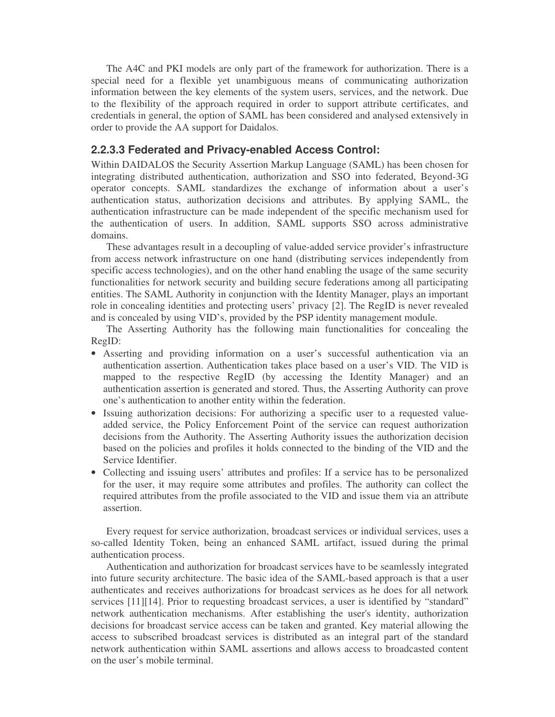The A4C and PKI models are only part of the framework for authorization. There is a special need for a flexible yet unambiguous means of communicating authorization information between the key elements of the system users, services, and the network. Due to the flexibility of the approach required in order to support attribute certificates, and credentials in general, the option of SAML has been considered and analysed extensively in order to provide the AA support for Daidalos.

# **2.2.3.3 Federated and Privacy-enabled Access Control:**

Within DAIDALOS the Security Assertion Markup Language (SAML) has been chosen for integrating distributed authentication, authorization and SSO into federated, Beyond-3G operator concepts. SAML standardizes the exchange of information about a user's authentication status, authorization decisions and attributes. By applying SAML, the authentication infrastructure can be made independent of the specific mechanism used for the authentication of users. In addition, SAML supports SSO across administrative domains.

These advantages result in a decoupling of value-added service provider's infrastructure from access network infrastructure on one hand (distributing services independently from specific access technologies), and on the other hand enabling the usage of the same security functionalities for network security and building secure federations among all participating entities. The SAML Authority in conjunction with the Identity Manager, plays an important role in concealing identities and protecting users' privacy [2]. The RegID is never revealed and is concealed by using VID's, provided by the PSP identity management module.

The Asserting Authority has the following main functionalities for concealing the RegID:

- Asserting and providing information on a user's successful authentication via an authentication assertion. Authentication takes place based on a user's VID. The VID is mapped to the respective RegID (by accessing the Identity Manager) and an authentication assertion is generated and stored. Thus, the Asserting Authority can prove one's authentication to another entity within the federation.
- Issuing authorization decisions: For authorizing a specific user to a requested valueadded service, the Policy Enforcement Point of the service can request authorization decisions from the Authority. The Asserting Authority issues the authorization decision based on the policies and profiles it holds connected to the binding of the VID and the Service Identifier.
- Collecting and issuing users' attributes and profiles: If a service has to be personalized for the user, it may require some attributes and profiles. The authority can collect the required attributes from the profile associated to the VID and issue them via an attribute assertion.

Every request for service authorization, broadcast services or individual services, uses a so-called Identity Token, being an enhanced SAML artifact, issued during the primal authentication process.

Authentication and authorization for broadcast services have to be seamlessly integrated into future security architecture. The basic idea of the SAML-based approach is that a user authenticates and receives authorizations for broadcast services as he does for all network services [11][14]. Prior to requesting broadcast services, a user is identified by "standard" network authentication mechanisms. After establishing the user's identity, authorization decisions for broadcast service access can be taken and granted. Key material allowing the access to subscribed broadcast services is distributed as an integral part of the standard network authentication within SAML assertions and allows access to broadcasted content on the user's mobile terminal.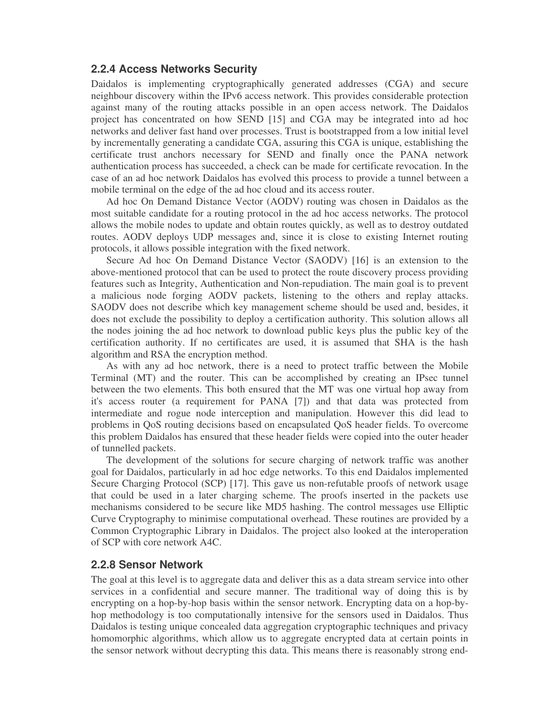# **2.2.4 Access Networks Security**

Daidalos is implementing cryptographically generated addresses (CGA) and secure neighbour discovery within the IPv6 access network. This provides considerable protection against many of the routing attacks possible in an open access network. The Daidalos project has concentrated on how SEND [15] and CGA may be integrated into ad hoc networks and deliver fast hand over processes. Trust is bootstrapped from a low initial level by incrementally generating a candidate CGA, assuring this CGA is unique, establishing the certificate trust anchors necessary for SEND and finally once the PANA network authentication process has succeeded, a check can be made for certificate revocation. In the case of an ad hoc network Daidalos has evolved this process to provide a tunnel between a mobile terminal on the edge of the ad hoc cloud and its access router.

Ad hoc On Demand Distance Vector (AODV) routing was chosen in Daidalos as the most suitable candidate for a routing protocol in the ad hoc access networks. The protocol allows the mobile nodes to update and obtain routes quickly, as well as to destroy outdated routes. AODV deploys UDP messages and, since it is close to existing Internet routing protocols, it allows possible integration with the fixed network.

Secure Ad hoc On Demand Distance Vector (SAODV) [16] is an extension to the above-mentioned protocol that can be used to protect the route discovery process providing features such as Integrity, Authentication and Non-repudiation. The main goal is to prevent a malicious node forging AODV packets, listening to the others and replay attacks. SAODV does not describe which key management scheme should be used and, besides, it does not exclude the possibility to deploy a certification authority. This solution allows all the nodes joining the ad hoc network to download public keys plus the public key of the certification authority. If no certificates are used, it is assumed that SHA is the hash algorithm and RSA the encryption method.

As with any ad hoc network, there is a need to protect traffic between the Mobile Terminal (MT) and the router. This can be accomplished by creating an IPsec tunnel between the two elements. This both ensured that the MT was one virtual hop away from it's access router (a requirement for PANA [7]) and that data was protected from intermediate and rogue node interception and manipulation. However this did lead to problems in QoS routing decisions based on encapsulated QoS header fields. To overcome this problem Daidalos has ensured that these header fields were copied into the outer header of tunnelled packets.

The development of the solutions for secure charging of network traffic was another goal for Daidalos, particularly in ad hoc edge networks. To this end Daidalos implemented Secure Charging Protocol (SCP) [17]. This gave us non-refutable proofs of network usage that could be used in a later charging scheme. The proofs inserted in the packets use mechanisms considered to be secure like MD5 hashing. The control messages use Elliptic Curve Cryptography to minimise computational overhead. These routines are provided by a Common Cryptographic Library in Daidalos. The project also looked at the interoperation of SCP with core network A4C.

#### **2.2.8 Sensor Network**

The goal at this level is to aggregate data and deliver this as a data stream service into other services in a confidential and secure manner. The traditional way of doing this is by encrypting on a hop-by-hop basis within the sensor network. Encrypting data on a hop-byhop methodology is too computationally intensive for the sensors used in Daidalos. Thus Daidalos is testing unique concealed data aggregation cryptographic techniques and privacy homomorphic algorithms, which allow us to aggregate encrypted data at certain points in the sensor network without decrypting this data. This means there is reasonably strong end